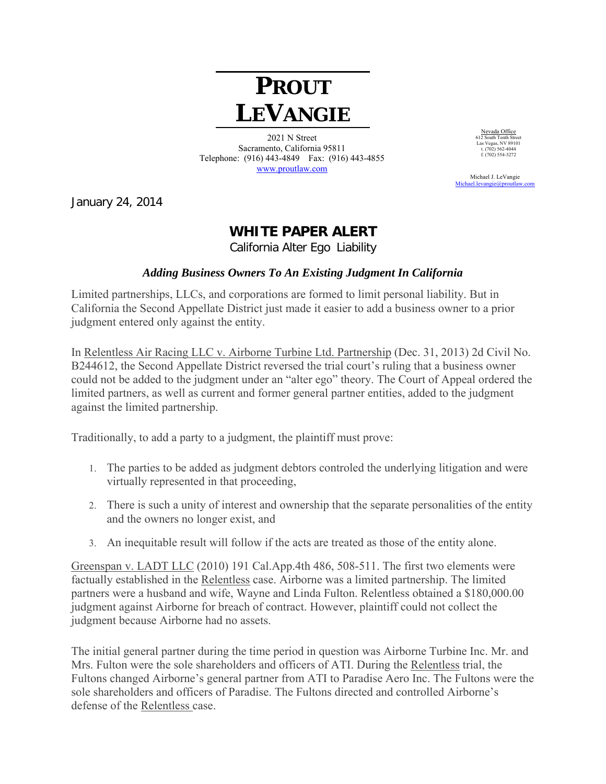## **PROUT LEVANGIE**

2021 N Street Sacramento, California 95811 Telephone: (916) 443-4849 Fax: (916) 443-4855 www.proutlaw.com

Nevada Office 612 South Tenth Street Las Vegas, NV 89101 t. (702) 562-4044  $f. (702) 302 - 4044$ <br>f. (702) 554-3272

 Michael J. LeVangie Michael.levangie@proutlay

January 24, 2014

## **WHITE PAPER ALERT**

California Alter Ego Liability

## *Adding Business Owners To An Existing Judgment In California*

Limited partnerships, LLCs, and corporations are formed to limit personal liability. But in California the Second Appellate District just made it easier to add a business owner to a prior judgment entered only against the entity.

In Relentless Air Racing LLC v. Airborne Turbine Ltd. Partnership (Dec. 31, 2013) 2d Civil No. B244612, the Second Appellate District reversed the trial court's ruling that a business owner could not be added to the judgment under an "alter ego" theory. The Court of Appeal ordered the limited partners, as well as current and former general partner entities, added to the judgment against the limited partnership.

Traditionally, to add a party to a judgment, the plaintiff must prove:

- 1. The parties to be added as judgment debtors controled the underlying litigation and were virtually represented in that proceeding,
- 2. There is such a unity of interest and ownership that the separate personalities of the entity and the owners no longer exist, and
- 3. An inequitable result will follow if the acts are treated as those of the entity alone.

Greenspan v. LADT LLC (2010) 191 Cal.App.4th 486, 508-511. The first two elements were factually established in the Relentless case. Airborne was a limited partnership. The limited partners were a husband and wife, Wayne and Linda Fulton. Relentless obtained a \$180,000.00 judgment against Airborne for breach of contract. However, plaintiff could not collect the judgment because Airborne had no assets.

The initial general partner during the time period in question was Airborne Turbine Inc. Mr. and Mrs. Fulton were the sole shareholders and officers of ATI. During the Relentless trial, the Fultons changed Airborne's general partner from ATI to Paradise Aero Inc. The Fultons were the sole shareholders and officers of Paradise. The Fultons directed and controlled Airborne's defense of the Relentless case.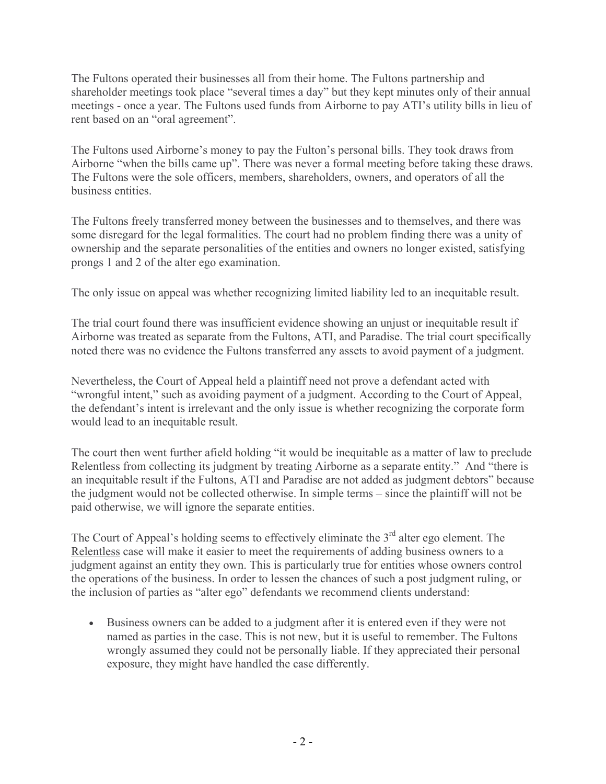The Fultons operated their businesses all from their home. The Fultons partnership and shareholder meetings took place "several times a day" but they kept minutes only of their annual meetings - once a year. The Fultons used funds from Airborne to pay ATI's utility bills in lieu of rent based on an "oral agreement".

The Fultons used Airborne's money to pay the Fulton's personal bills. They took draws from Airborne "when the bills came up". There was never a formal meeting before taking these draws. The Fultons were the sole officers, members, shareholders, owners, and operators of all the business entities.

The Fultons freely transferred money between the businesses and to themselves, and there was some disregard for the legal formalities. The court had no problem finding there was a unity of ownership and the separate personalities of the entities and owners no longer existed, satisfying prongs 1 and 2 of the alter ego examination.

The only issue on appeal was whether recognizing limited liability led to an inequitable result.

The trial court found there was insufficient evidence showing an unjust or inequitable result if Airborne was treated as separate from the Fultons, ATI, and Paradise. The trial court specifically noted there was no evidence the Fultons transferred any assets to avoid payment of a judgment.

Nevertheless, the Court of Appeal held a plaintiff need not prove a defendant acted with "wrongful intent," such as avoiding payment of a judgment. According to the Court of Appeal, the defendant's intent is irrelevant and the only issue is whether recognizing the corporate form would lead to an inequitable result.

The court then went further afield holding "it would be inequitable as a matter of law to preclude Relentless from collecting its judgment by treating Airborne as a separate entity." And "there is an inequitable result if the Fultons, ATI and Paradise are not added as judgment debtors" because the judgment would not be collected otherwise. In simple terms – since the plaintiff will not be paid otherwise, we will ignore the separate entities.

The Court of Appeal's holding seems to effectively eliminate the  $3<sup>rd</sup>$  alter ego element. The Relentless case will make it easier to meet the requirements of adding business owners to a judgment against an entity they own. This is particularly true for entities whose owners control the operations of the business. In order to lessen the chances of such a post judgment ruling, or the inclusion of parties as "alter ego" defendants we recommend clients understand:

 Business owners can be added to a judgment after it is entered even if they were not named as parties in the case. This is not new, but it is useful to remember. The Fultons wrongly assumed they could not be personally liable. If they appreciated their personal exposure, they might have handled the case differently.